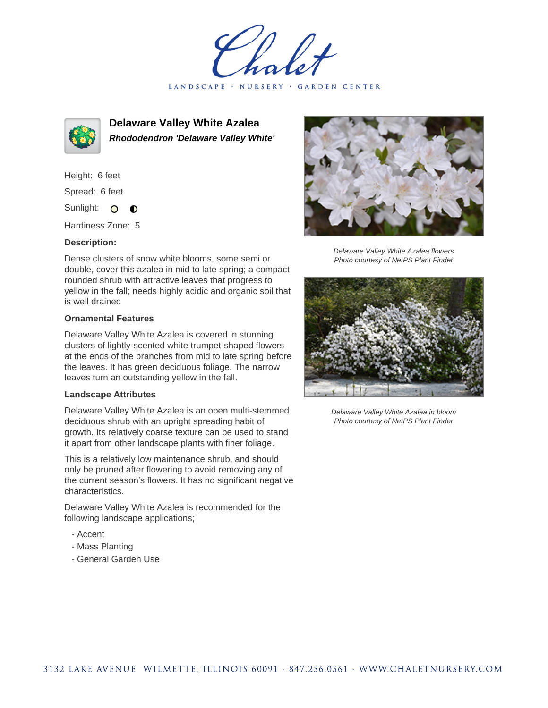LANDSCAPE · NURSERY · GARDEN CENTER



**Delaware Valley White Azalea Rhododendron 'Delaware Valley White'**

Height: 6 feet Spread: 6 feet Sunlight: O  $\bullet$ 

Hardiness Zone: 5

## **Description:**

Dense clusters of snow white blooms, some semi or double, cover this azalea in mid to late spring; a compact rounded shrub with attractive leaves that progress to yellow in the fall; needs highly acidic and organic soil that is well drained

## **Ornamental Features**

Delaware Valley White Azalea is covered in stunning clusters of lightly-scented white trumpet-shaped flowers at the ends of the branches from mid to late spring before the leaves. It has green deciduous foliage. The narrow leaves turn an outstanding yellow in the fall.

## **Landscape Attributes**

Delaware Valley White Azalea is an open multi-stemmed deciduous shrub with an upright spreading habit of growth. Its relatively coarse texture can be used to stand it apart from other landscape plants with finer foliage.

This is a relatively low maintenance shrub, and should only be pruned after flowering to avoid removing any of the current season's flowers. It has no significant negative characteristics.

Delaware Valley White Azalea is recommended for the following landscape applications;

- Accent
- Mass Planting
- General Garden Use



Delaware Valley White Azalea flowers Photo courtesy of NetPS Plant Finder



Delaware Valley White Azalea in bloom Photo courtesy of NetPS Plant Finder